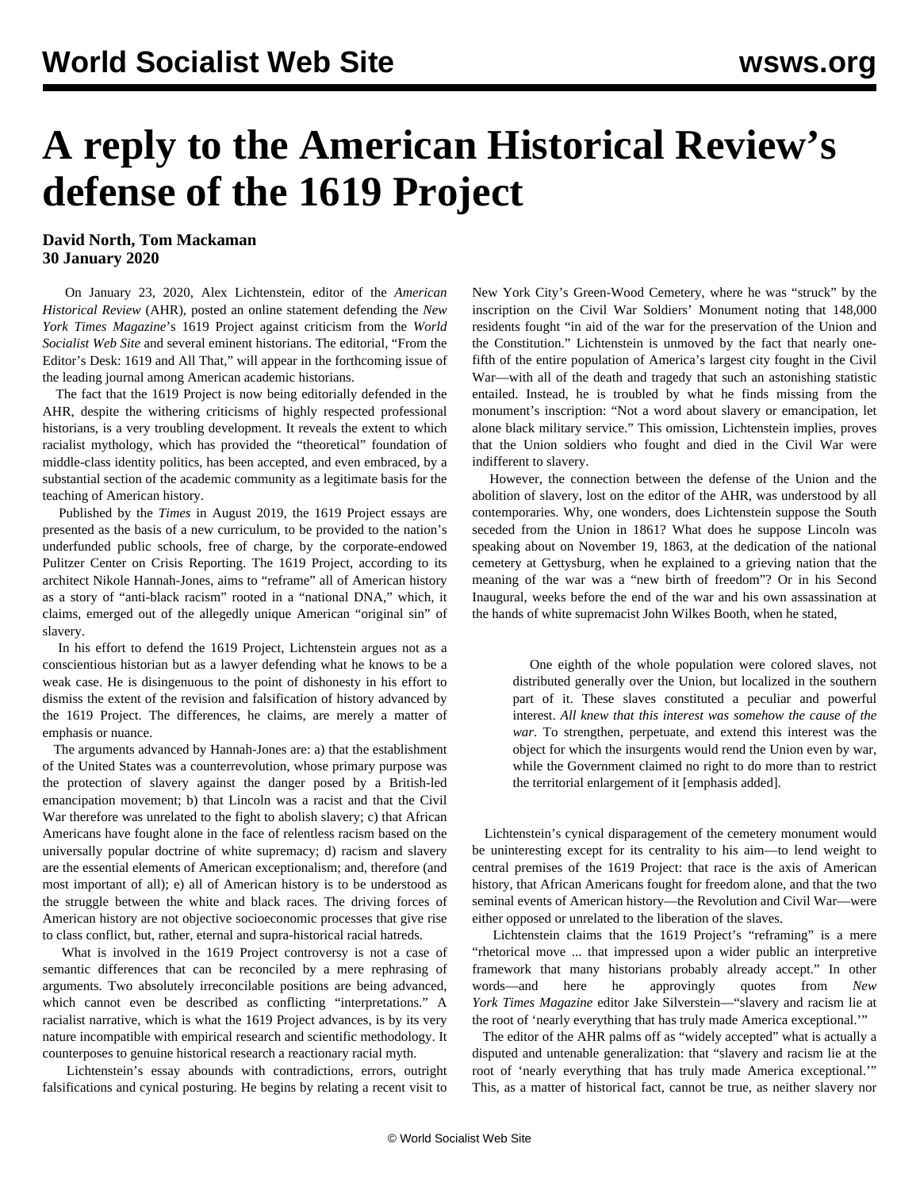## **A reply to the American Historical Review's defense of the 1619 Project**

## **David North, Tom Mackaman 30 January 2020**

 On January 23, 2020, Alex Lichtenstein, editor of the *American Historical Review* (AHR), posted an online statement defending the *New York Times Magazine*'s 1619 Project against criticism from the *World Socialist Web Site* and several eminent historians. The editorial, ["From the](https://academic.oup.com/ahr/advance-article/doi/10.1093/ahr/rhaa041/5714757) [Editor's Desk: 1619 and All That,"](https://academic.oup.com/ahr/advance-article/doi/10.1093/ahr/rhaa041/5714757) will appear in the forthcoming issue of the leading journal among American academic historians.

 The fact that the 1619 Project is now being editorially defended in the AHR, despite the withering criticisms of highly respected professional historians, is a very troubling development. It reveals the extent to which racialist mythology, which has provided the "theoretical" foundation of middle-class identity politics, has been accepted, and even embraced, by a substantial section of the academic community as a legitimate basis for the teaching of American history.

 Published by the *Times* in August 2019, the 1619 Project essays are presented as the basis of a new curriculum, to be provided to the nation's underfunded public schools, free of charge, by the corporate-endowed Pulitzer Center on Crisis Reporting. The 1619 Project, according to its architect Nikole Hannah-Jones, aims to "reframe" all of American history as a story of "anti-black racism" rooted in a "national DNA," which, it claims, emerged out of the allegedly unique American "original sin" of slavery.

 In his effort to defend the 1619 Project, Lichtenstein argues not as a conscientious historian but as a lawyer defending what he knows to be a weak case. He is disingenuous to the point of dishonesty in his effort to dismiss the extent of the revision and falsification of history advanced by the 1619 Project. The differences, he claims, are merely a matter of emphasis or nuance.

 The arguments advanced by Hannah-Jones are: a) that the establishment of the United States was a counterrevolution, whose primary purpose was the protection of slavery against the danger posed by a British-led emancipation movement; b) that Lincoln was a racist and that the Civil War therefore was unrelated to the fight to abolish slavery; c) that African Americans have fought alone in the face of relentless racism based on the universally popular doctrine of white supremacy; d) racism and slavery are the essential elements of American exceptionalism; and, therefore (and most important of all); e) all of American history is to be understood as the struggle between the white and black races. The driving forces of American history are not objective socioeconomic processes that give rise to class conflict, but, rather, eternal and supra-historical racial hatreds.

 What is involved in the 1619 Project controversy is not a case of semantic differences that can be reconciled by a mere rephrasing of arguments. Two absolutely irreconcilable positions are being advanced, which cannot even be described as conflicting "interpretations." A racialist narrative, which is what the 1619 Project advances, is by its very nature incompatible with empirical research and scientific methodology. It counterposes to genuine historical research a reactionary racial myth.

 Lichtenstein's essay abounds with contradictions, errors, outright falsifications and cynical posturing. He begins by relating a recent visit to

New York City's Green-Wood Cemetery, where he was "struck" by the inscription on the Civil War Soldiers' Monument noting that 148,000 residents fought "in aid of the war for the preservation of the Union and the Constitution." Lichtenstein is unmoved by the fact that nearly onefifth of the entire population of America's largest city fought in the Civil War—with all of the death and tragedy that such an astonishing statistic entailed. Instead, he is troubled by what he finds missing from the monument's inscription: "Not a word about slavery or emancipation, let alone black military service." This omission, Lichtenstein implies, proves that the Union soldiers who fought and died in the Civil War were indifferent to slavery.

 However, the connection between the defense of the Union and the abolition of slavery, lost on the editor of the AHR, was understood by all contemporaries. Why, one wonders, does Lichtenstein suppose the South seceded from the Union in 1861? What does he suppose Lincoln was speaking about on November 19, 1863, at the dedication of the national cemetery at Gettysburg, when he explained to a grieving nation that the meaning of the war was a "new birth of freedom"? Or in his Second Inaugural, weeks before the end of the war and his own assassination at the hands of white supremacist John Wilkes Booth, when he stated,

 One eighth of the whole population were colored slaves, not distributed generally over the Union, but localized in the southern part of it. These slaves constituted a peculiar and powerful interest. *All knew that this interest was somehow the cause of the war*. To strengthen, perpetuate, and extend this interest was the object for which the insurgents would rend the Union even by war, while the Government claimed no right to do more than to restrict the territorial enlargement of it [emphasis added].

 Lichtenstein's cynical disparagement of the cemetery monument would be uninteresting except for its centrality to his aim—to lend weight to central premises of the 1619 Project: that race is the axis of American history, that African Americans fought for freedom alone, and that the two seminal events of American history—the Revolution and Civil War—were either opposed or unrelated to the liberation of the slaves.

 Lichtenstein claims that the 1619 Project's "reframing" is a mere "rhetorical move ... that impressed upon a wider public an interpretive framework that many historians probably already accept." In other words—and here he approvingly quotes from *New York Times Magazine* editor Jake Silverstein—"slavery and racism lie at the root of 'nearly everything that has truly made America exceptional.'"

 The editor of the AHR palms off as "widely accepted" what is actually a disputed and untenable generalization: that "slavery and racism lie at the root of 'nearly everything that has truly made America exceptional.'" This, as a matter of historical fact, cannot be true, as neither slavery nor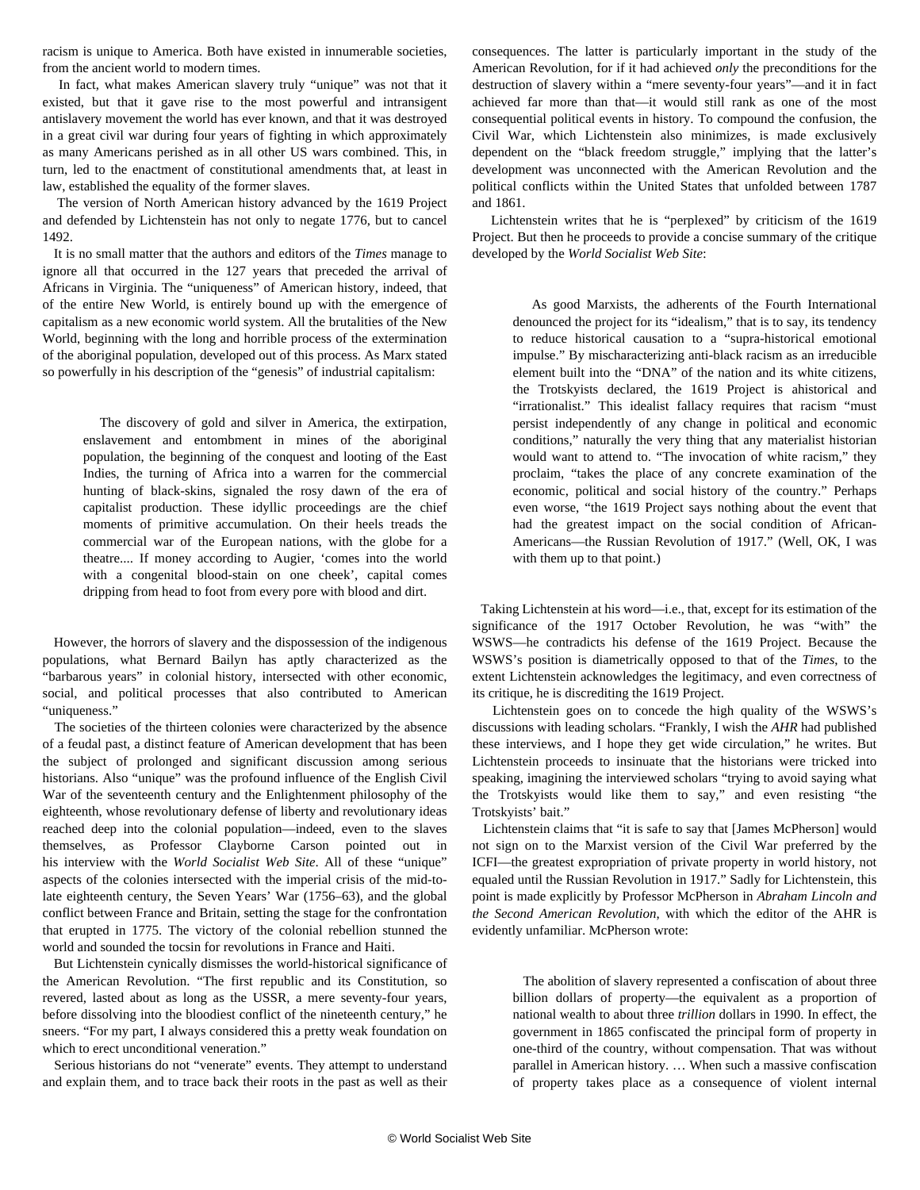racism is unique to America. Both have existed in innumerable societies, from the ancient world to modern times.

 In fact, what makes American slavery truly "unique" was not that it existed, but that it gave rise to the most powerful and intransigent antislavery movement the world has ever known, and that it was destroyed in a great civil war during four years of fighting in which approximately as many Americans perished as in all other US wars combined. This, in turn, led to the enactment of constitutional amendments that, at least in law, established the equality of the former slaves.

 The version of North American history advanced by the 1619 Project and defended by Lichtenstein has not only to negate 1776, but to cancel 1492.

 It is no small matter that the authors and editors of the *Times* manage to ignore all that occurred in the 127 years that preceded the arrival of Africans in Virginia. The "uniqueness" of American history, indeed, that of the entire New World, is entirely bound up with the emergence of capitalism as a new economic world system. All the brutalities of the New World, beginning with the long and horrible process of the extermination of the aboriginal population, developed out of this process. As Marx stated so powerfully in his description of the "genesis" of industrial capitalism:

 The discovery of gold and silver in America, the extirpation, enslavement and entombment in mines of the aboriginal population, the beginning of the conquest and looting of the East Indies, the turning of Africa into a warren for the commercial hunting of black-skins, signaled the rosy dawn of the era of capitalist production. These idyllic proceedings are the chief moments of primitive accumulation. On their heels treads the commercial war of the European nations, with the globe for a theatre.... If money according to Augier, 'comes into the world with a congenital blood-stain on one cheek', capital comes dripping from head to foot from every pore with blood and dirt.

 However, the horrors of slavery and the dispossession of the indigenous populations, what Bernard Bailyn has aptly characterized as the "barbarous years" in colonial history, intersected with other economic, social, and political processes that also contributed to American "uniqueness."

 The societies of the thirteen colonies were characterized by the absence of a feudal past, a distinct feature of American development that has been the subject of prolonged and significant discussion among serious historians. Also "unique" was the profound influence of the English Civil War of the seventeenth century and the Enlightenment philosophy of the eighteenth, whose revolutionary defense of liberty and revolutionary ideas reached deep into the colonial population—indeed, even to the slaves themselves, as Professor Clayborne Carson pointed out in his [interview](/en/articles/2020/01/15/clay-j15.html) with the *World Socialist Web Site*. All of these "unique" aspects of the colonies intersected with the imperial crisis of the mid-tolate eighteenth century, the Seven Years' War (1756–63), and the global conflict between France and Britain, setting the stage for the confrontation that erupted in 1775. The victory of the colonial rebellion stunned the world and sounded the tocsin for revolutions in France and Haiti.

 But Lichtenstein cynically dismisses the world-historical significance of the American Revolution. "The first republic and its Constitution, so revered, lasted about as long as the USSR, a mere seventy-four years, before dissolving into the bloodiest conflict of the nineteenth century," he sneers. "For my part, I always considered this a pretty weak foundation on which to erect unconditional veneration."

 Serious historians do not "venerate" events. They attempt to understand and explain them, and to trace back their roots in the past as well as their consequences. The latter is particularly important in the study of the American Revolution, for if it had achieved *only* the preconditions for the destruction of slavery within a "mere seventy-four years"—and it in fact achieved far more than that—it would still rank as one of the most consequential political events in history. To compound the confusion, the Civil War, which Lichtenstein also minimizes, is made exclusively dependent on the "black freedom struggle," implying that the latter's development was unconnected with the American Revolution and the political conflicts within the United States that unfolded between 1787 and 1861.

 Lichtenstein writes that he is "perplexed" by criticism of the 1619 Project. But then he proceeds to provide a concise summary of the critique developed by the *World Socialist Web Site*:

 As good Marxists, the adherents of the Fourth International denounced the project for its "idealism," that is to say, its tendency to reduce historical causation to a "supra-historical emotional impulse." By mischaracterizing anti-black racism as an irreducible element built into the "DNA" of the nation and its white citizens, the Trotskyists declared, the 1619 Project is ahistorical and "irrationalist." This idealist fallacy requires that racism "must persist independently of any change in political and economic conditions," naturally the very thing that any materialist historian would want to attend to. "The invocation of white racism," they proclaim, "takes the place of any concrete examination of the economic, political and social history of the country." Perhaps even worse, "the 1619 Project says nothing about the event that had the greatest impact on the social condition of African-Americans—the Russian Revolution of 1917." (Well, OK, I was with them up to that point.)

 Taking Lichtenstein at his word—i.e., that, except for its estimation of the significance of the 1917 October Revolution, he was "with" the WSWS—he contradicts his defense of the 1619 Project. Because the WSWS's position is diametrically opposed to that of the *Times*, to the extent Lichtenstein acknowledges the legitimacy, and even correctness of its critique, he is discrediting the 1619 Project.

 Lichtenstein goes on to concede the high quality of the WSWS's discussions with leading scholars. "Frankly, I wish the *AHR* had published these interviews, and I hope they get wide circulation," he writes. But Lichtenstein proceeds to insinuate that the historians were tricked into speaking, imagining the interviewed scholars "trying to avoid saying what the Trotskyists would like them to say," and even resisting "the Trotskyists' bait."

 Lichtenstein claims that "it is safe to say that [James McPherson] would not sign on to the Marxist version of the Civil War preferred by the ICFI—the greatest expropriation of private property in world history, not equaled until the Russian Revolution in 1917." Sadly for Lichtenstein, this point is made explicitly by Professor McPherson in *Abraham Lincoln and the Second American Revolution*, with which the editor of the AHR is evidently unfamiliar. McPherson wrote:

 The abolition of slavery represented a confiscation of about three billion dollars of property—the equivalent as a proportion of national wealth to about three *trillion* dollars in 1990. In effect, the government in 1865 confiscated the principal form of property in one-third of the country, without compensation. That was without parallel in American history. … When such a massive confiscation of property takes place as a consequence of violent internal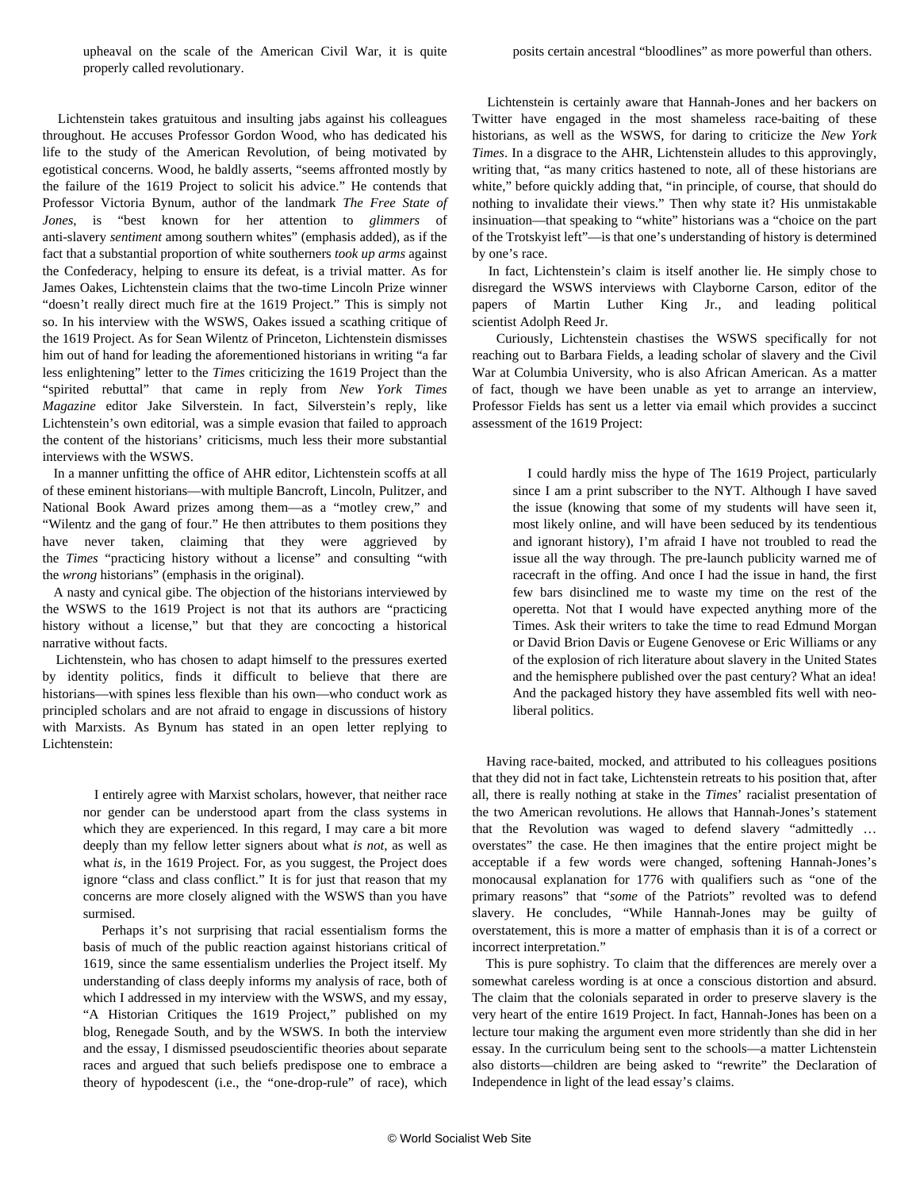Lichtenstein takes gratuitous and insulting jabs against his colleagues throughout. He accuses Professor Gordon Wood, who has dedicated his life to the study of the American Revolution, of being motivated by egotistical concerns. Wood, he baldly asserts, "seems affronted mostly by the failure of the 1619 Project to solicit his advice." He contends that Professor Victoria Bynum, author of the landmark *The Free State of Jones*, is "best known for her attention to *glimmers* of anti-slavery *sentiment* among southern whites" (emphasis added), as if the fact that a substantial proportion of white southerners *took up arms* against the Confederacy, helping to ensure its defeat, is a trivial matter. As for James Oakes, Lichtenstein claims that the two-time Lincoln Prize winner "doesn't really direct much fire at the 1619 Project." This is simply not so. In his [interview](/en/articles/2019/11/18/oake-n18.html) with the WSWS, Oakes issued a scathing critique of the 1619 Project. As for Sean Wilentz of Princeton, Lichtenstein dismisses him out of hand for leading the aforementioned historians in writing "a far less enlightening" letter to the *Times* criticizing the 1619 Project than the "spirited rebuttal" that came in reply from *New York Times Magazine* editor Jake Silverstein. In fact, Silverstein's reply, like Lichtenstein's own editorial, was a simple evasion that failed to approach the content of the historians' criticisms, much less their more substantial interviews with the WSWS.

 In a manner unfitting the office of AHR editor, Lichtenstein scoffs at all of these eminent historians—with multiple Bancroft, Lincoln, Pulitzer, and National Book Award prizes among them—as a "motley crew," and "Wilentz and the gang of four." He then attributes to them positions they have never taken, claiming that they were aggrieved by the *Times* "practicing history without a license" and consulting "with the *wrong* historians" (emphasis in the original).

 A nasty and cynical gibe. The objection of the historians interviewed by the WSWS to the 1619 Project is not that its authors are "practicing history without a license," but that they are concocting a historical narrative without facts.

 Lichtenstein, who has chosen to adapt himself to the pressures exerted by identity politics, finds it difficult to believe that there are historians—with spines less flexible than his own—who conduct work as principled scholars and are not afraid to engage in discussions of history with Marxists. As Bynum has stated in an [open letter](/en/articles/2020/01/31/resp-j31.html) replying to Lichtenstein:

 I entirely agree with Marxist scholars, however, that neither race nor gender can be understood apart from the class systems in which they are experienced. In this regard, I may care a bit more deeply than my fellow letter signers about what *is not,* as well as what *is*, in the 1619 Project. For, as you suggest, the Project does ignore "class and class conflict." It is for just that reason that my concerns are more closely aligned with the WSWS than you have surmised.

 Perhaps it's not surprising that racial essentialism forms the basis of much of the public reaction against historians critical of 1619, since the same essentialism underlies the Project itself. My understanding of class deeply informs my analysis of race, both of which I addressed in my [interview](/en/articles/2019/10/30/bynu-o30.html) with the WSWS, and my essay, ["A Historian Critiques the 1619 Project](https://renegadesouth.wordpress.com/2019/12/22/a-historians-critique-of-the-1619-project/)," published on my blog, Renegade South*,* and by the WSWS. In both the interview and the essay, I dismissed pseudoscientific theories about separate races and argued that such beliefs predispose one to embrace a theory of hypodescent (i.e., the "one-drop-rule" of race), which

 Lichtenstein is certainly aware that Hannah-Jones and her backers on Twitter have engaged in the most shameless race-baiting of these historians, as well as the WSWS, for daring to criticize the *New York Times*. In a disgrace to the AHR, Lichtenstein alludes to this approvingly, writing that, "as many critics hastened to note, all of these historians are white," before quickly adding that, "in principle, of course, that should do nothing to invalidate their views." Then why state it? His unmistakable insinuation—that speaking to "white" historians was a "choice on the part of the Trotskyist left"—is that one's understanding of history is determined by one's race.

 In fact, Lichtenstein's claim is itself another lie. He simply chose to disregard the WSWS interviews with Clayborne Carson, editor of the papers of Martin Luther King Jr., and leading political scientist [Adolph Reed Jr.](/en/articles/2019/12/20/reed-d20.html)

 Curiously, Lichtenstein chastises the WSWS specifically for not reaching out to Barbara Fields, a leading scholar of slavery and the Civil War at Columbia University, who is also African American. As a matter of fact, though we have been unable as yet to arrange an interview, Professor Fields has sent us a letter via email which provides a succinct assessment of the 1619 Project:

 I could hardly miss the hype of The 1619 Project, particularly since I am a print subscriber to the NYT. Although I have saved the issue (knowing that some of my students will have seen it, most likely online, and will have been seduced by its tendentious and ignorant history), I'm afraid I have not troubled to read the issue all the way through. The pre-launch publicity warned me of racecraft in the offing. And once I had the issue in hand, the first few bars disinclined me to waste my time on the rest of the operetta. Not that I would have expected anything more of the Times. Ask their writers to take the time to read Edmund Morgan or David Brion Davis or Eugene Genovese or Eric Williams or any of the explosion of rich literature about slavery in the United States and the hemisphere published over the past century? What an idea! And the packaged history they have assembled fits well with neoliberal politics.

 Having race-baited, mocked, and attributed to his colleagues positions that they did not in fact take, Lichtenstein retreats to his position that, after all, there is really nothing at stake in the *Times*' racialist presentation of the two American revolutions. He allows that Hannah-Jones's statement that the Revolution was waged to defend slavery "admittedly … overstates" the case. He then imagines that the entire project might be acceptable if a few words were changed, softening Hannah-Jones's monocausal explanation for 1776 with qualifiers such as "one of the primary reasons" that "*some* of the Patriots" revolted was to defend slavery. He concludes, "While Hannah-Jones may be guilty of overstatement, this is more a matter of emphasis than it is of a correct or incorrect interpretation."

 This is pure sophistry. To claim that the differences are merely over a somewhat careless wording is at once a conscious distortion and absurd. The claim that the colonials separated in order to preserve slavery is the very heart of the entire 1619 Project. In fact, Hannah-Jones has been on a lecture tour making the argument even more stridently than she did in her essay. In the [curriculum](/en/articles/2020/01/10/proj-j10.html) being sent to the schools—a matter Lichtenstein also distorts—children are being asked to "rewrite" the Declaration of Independence in light of the lead essay's claims.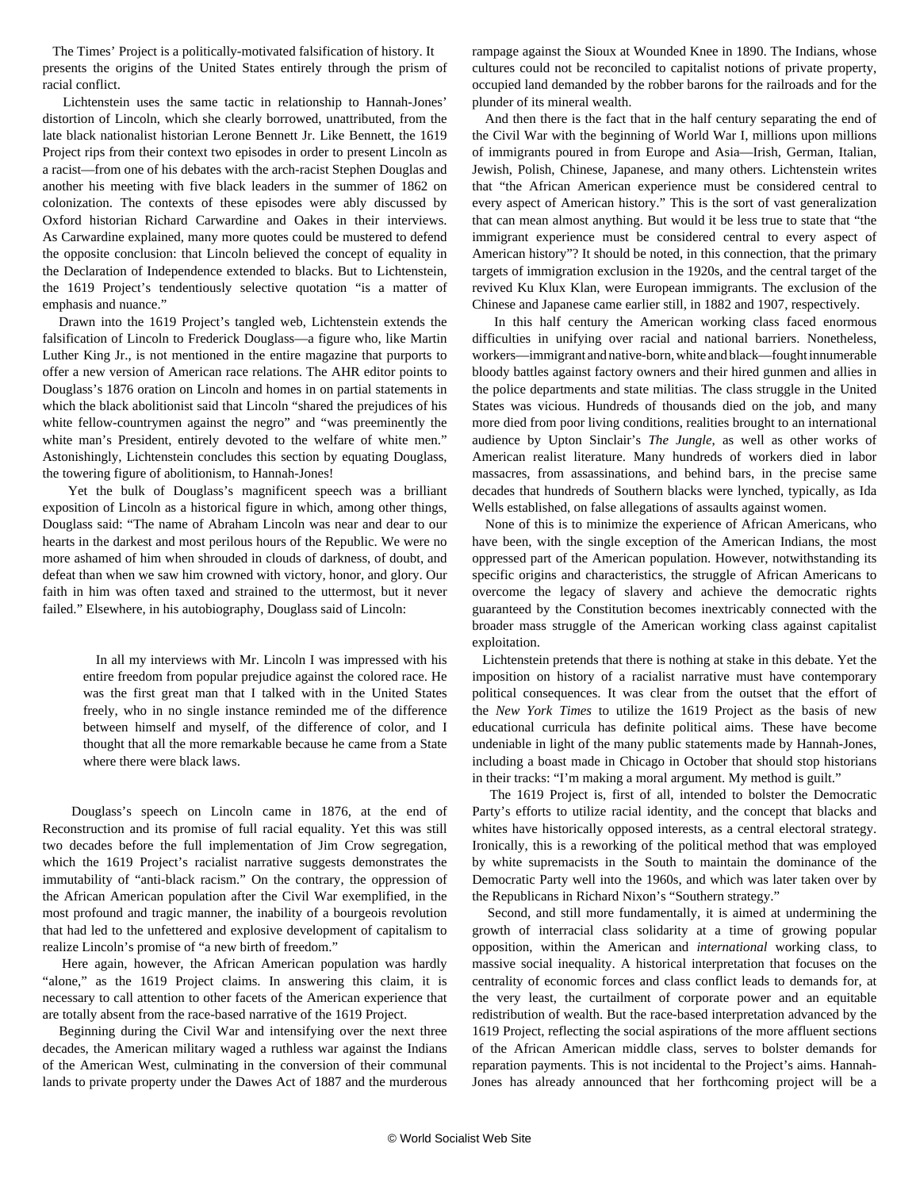The Times' Project is a politically-motivated falsification of history. It presents the origins of the United States entirely through the prism of racial conflict.

 Lichtenstein uses the same tactic in relationship to Hannah-Jones' distortion of Lincoln, which she clearly borrowed, unattributed, from the late black nationalist historian Lerone Bennett Jr. Like Bennett, the 1619 Project rips from their context two episodes in order to present Lincoln as a racist—from one of his debates with the arch-racist Stephen Douglas and another his meeting with five black leaders in the summer of 1862 on colonization. The contexts of these episodes were ably discussed by Oxford historian Richard Carwardine and Oakes in their interviews. As [Carwardine](/en/articles/2019/12/31/carw-d31.html) explained, many more quotes could be mustered to defend the opposite conclusion: that Lincoln believed the concept of equality in the Declaration of Independence extended to blacks. But to Lichtenstein, the 1619 Project's tendentiously selective quotation "is a matter of emphasis and nuance."

 Drawn into the 1619 Project's tangled web, Lichtenstein extends the falsification of Lincoln to Frederick Douglass—a figure who, like Martin Luther King Jr., is not mentioned in the entire magazine that purports to offer a new version of American race relations. The AHR editor points to Douglass's 1876 oration on Lincoln and homes in on partial statements in which the black abolitionist said that Lincoln "shared the prejudices of his white fellow-countrymen against the negro" and "was preeminently the white man's President, entirely devoted to the welfare of white men." Astonishingly, Lichtenstein concludes this section by equating Douglass, the towering figure of abolitionism, to Hannah-Jones!

 Yet the bulk of Douglass's magnificent speech was a brilliant exposition of Lincoln as a historical figure in which, among other things, Douglass said: "The name of Abraham Lincoln was near and dear to our hearts in the darkest and most perilous hours of the Republic. We were no more ashamed of him when shrouded in clouds of darkness, of doubt, and defeat than when we saw him crowned with victory, honor, and glory. Our faith in him was often taxed and strained to the uttermost, but it never failed." Elsewhere, in his autobiography, Douglass said of Lincoln:

 In all my interviews with Mr. Lincoln I was impressed with his entire freedom from popular prejudice against the colored race. He was the first great man that I talked with in the United States freely, who in no single instance reminded me of the difference between himself and myself, of the difference of color, and I thought that all the more remarkable because he came from a State where there were black laws.

 Douglass's speech on Lincoln came in 1876, at the end of Reconstruction and its promise of full racial equality. Yet this was still two decades before the full implementation of Jim Crow segregation, which the 1619 Project's racialist narrative suggests demonstrates the immutability of "anti-black racism." On the contrary, the oppression of the African American population after the Civil War exemplified, in the most profound and tragic manner, the inability of a bourgeois revolution that had led to the unfettered and explosive development of capitalism to realize Lincoln's promise of "a new birth of freedom."

 Here again, however, the African American population was hardly "alone," as the 1619 Project claims. In answering this claim, it is necessary to call attention to other facets of the American experience that are totally absent from the race-based narrative of the 1619 Project.

 Beginning during the Civil War and intensifying over the next three decades, the American military waged a ruthless war against the Indians of the American West, culminating in the conversion of their communal lands to private property under the Dawes Act of 1887 and the murderous rampage against the Sioux at Wounded Knee in 1890. The Indians, whose cultures could not be reconciled to capitalist notions of private property, occupied land demanded by the robber barons for the railroads and for the plunder of its mineral wealth.

 And then there is the fact that in the half century separating the end of the Civil War with the beginning of World War I, millions upon millions of immigrants poured in from Europe and Asia—Irish, German, Italian, Jewish, Polish, Chinese, Japanese, and many others. Lichtenstein writes that "the African American experience must be considered central to every aspect of American history." This is the sort of vast generalization that can mean almost anything. But would it be less true to state that "the immigrant experience must be considered central to every aspect of American history"? It should be noted, in this connection, that the primary targets of immigration exclusion in the 1920s, and the central target of the revived Ku Klux Klan, were European immigrants. The exclusion of the Chinese and Japanese came earlier still, in 1882 and 1907, respectively.

 In this half century the American working class faced enormous difficulties in unifying over racial and national barriers. Nonetheless, workers—immigrant and native-born, white and black—fought innumerable bloody battles against factory owners and their hired gunmen and allies in the police departments and state militias. The class struggle in the United States was vicious. Hundreds of thousands died on the job, and many more died from poor living conditions, realities brought to an international audience by Upton Sinclair's *The Jungle*, as well as other works of American realist literature. Many hundreds of workers died in labor massacres, from assassinations, and behind bars, in the precise same decades that hundreds of Southern blacks were lynched, typically, as Ida Wells established, on false allegations of assaults against women.

 None of this is to minimize the experience of African Americans, who have been, with the single exception of the American Indians, the most oppressed part of the American population. However, notwithstanding its specific origins and characteristics, the struggle of African Americans to overcome the legacy of slavery and achieve the democratic rights guaranteed by the Constitution becomes inextricably connected with the broader mass struggle of the American working class against capitalist exploitation.

 Lichtenstein pretends that there is nothing at stake in this debate. Yet the imposition on history of a racialist narrative must have contemporary political consequences. It was clear from the outset that the effort of the *New York Times* to utilize the 1619 Project as the basis of new educational curricula has definite political aims. These have become undeniable in light of the many public statements made by Hannah-Jones, including a boast made in Chicago in October that should stop historians in their tracks: "I'm making a moral argument. My method is guilt."

 The 1619 Project is, first of all, intended to bolster the Democratic Party's efforts to utilize racial identity, and the concept that blacks and whites have historically opposed interests, as a central electoral strategy. Ironically, this is a reworking of the political method that was employed by white supremacists in the South to maintain the dominance of the Democratic Party well into the 1960s, and which was later taken over by the Republicans in Richard Nixon's "Southern strategy."

 Second, and still more fundamentally, it is aimed at undermining the growth of interracial class solidarity at a time of growing popular opposition, within the American and *international* working class, to massive social inequality. A historical interpretation that focuses on the centrality of economic forces and class conflict leads to demands for, at the very least, the curtailment of corporate power and an equitable redistribution of wealth. But the race-based interpretation advanced by the 1619 Project, reflecting the social aspirations of the more affluent sections of the African American middle class, serves to bolster demands for reparation payments. This is not incidental to the Project's aims. Hannah-Jones has already announced that her forthcoming project will be a